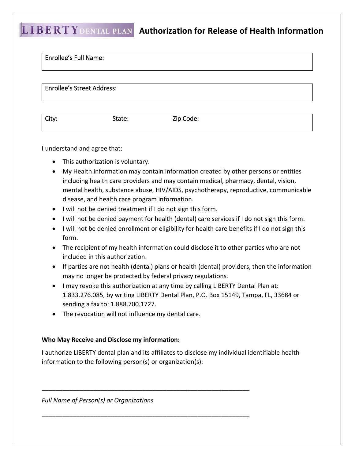## **LIBERTY DENTAL PLAN** Authorization for Release of Health Information

| <b>Enrollee's Full Name:</b>      |        |           |  |
|-----------------------------------|--------|-----------|--|
| <b>Enrollee's Street Address:</b> |        |           |  |
| City:                             | State: | Zip Code: |  |

I understand and agree that:

- This authorization is voluntary.
- My Health information may contain information created by other persons or entities including health care providers and may contain medical, pharmacy, dental, vision, mental health, substance abuse, HIV/AIDS, psychotherapy, reproductive, communicable disease, and health care program information.
- I will not be denied treatment if I do not sign this form.
- I will not be denied payment for health (dental) care services if I do not sign this form.
- I will not be denied enrollment or eligibility for health care benefits if I do not sign this form.
- The recipient of my health information could disclose it to other parties who are not included in this authorization.
- If parties are not health (dental) plans or health (dental) providers, then the information may no longer be protected by federal privacy regulations.
- I may revoke this authorization at any time by calling LIBERTY Dental Plan at: 1.833.276.085, by writing LIBERTY Dental Plan, P.O. Box 15149, Tampa, FL, 33684 or sending a fax to: 1.888.700.1727.
- The revocation will not influence my dental care.

## **Who May Receive and Disclose my information:**

I authorize LIBERTY dental plan and its affiliates to disclose my individual identifiable health information to the following person(s) or organization(s):

\_\_\_\_\_\_\_\_\_\_\_\_\_\_\_\_\_\_\_\_\_\_\_\_\_\_\_\_\_\_\_\_\_\_\_\_\_\_\_\_\_\_\_\_\_\_\_\_\_\_\_\_\_\_\_\_\_\_\_\_

\_\_\_\_\_\_\_\_\_\_\_\_\_\_\_\_\_\_\_\_\_\_\_\_\_\_\_\_\_\_\_\_\_\_\_\_\_\_\_\_\_\_\_\_\_\_\_\_\_\_\_\_\_\_\_\_\_\_\_\_

*Full Name of Person(s) or Organizations*